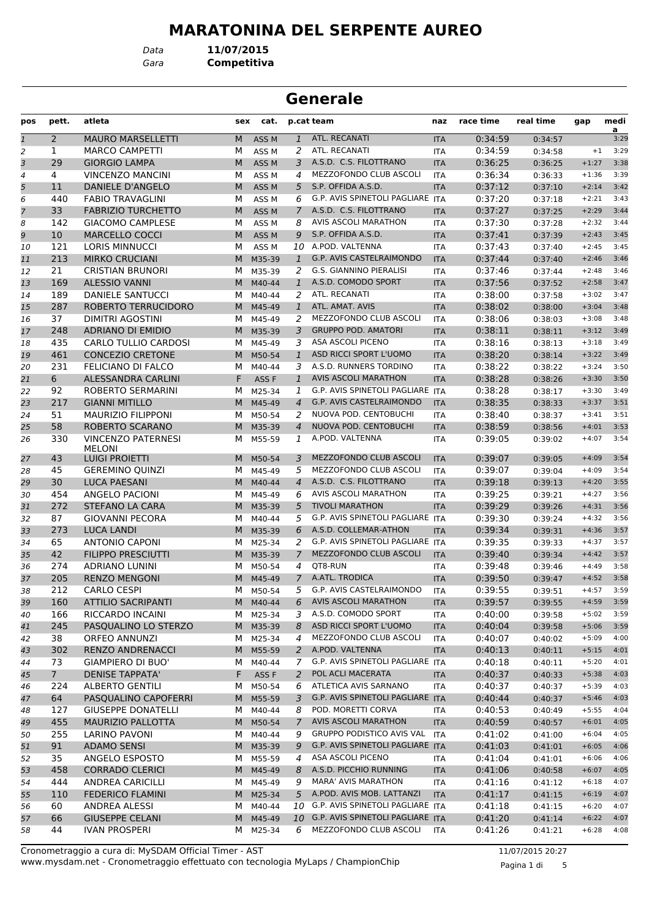# **MARATONINA DEL SERPENTE AUREO**

*Data* **11/07/2015**

*Gara* **Competitiva**

| <b>Generale</b> |                |                                                |     |                  |                |                                     |            |           |                    |         |                        |
|-----------------|----------------|------------------------------------------------|-----|------------------|----------------|-------------------------------------|------------|-----------|--------------------|---------|------------------------|
| pos             | pett.          | atleta                                         | sex | cat.             |                | p.cat team                          | naz        | race time | real time          | gap     | medi<br>$\overline{a}$ |
| $\overline{1}$  | $\overline{2}$ | <b>MAURO MARSELLETTI</b>                       | M   | ASS <sub>M</sub> | $\mathbf{1}$   | ATL. RECANATI                       | <b>ITA</b> | 0:34:59   | 0:34:57            |         | 3:29                   |
| 2               | 1              | <b>MARCO CAMPETTI</b>                          | м   | ASS <sub>M</sub> | 2              | ATL. RECANATI                       | <b>ITA</b> | 0:34:59   | 0:34:58            | $+1$    | 3:29                   |
| 3               | 29             | <b>GIORGIO LAMPA</b>                           | М   | ASS <sub>M</sub> | 3              | A.S.D. C.S. FILOTTRANO              | <b>ITA</b> | 0:36:25   | 0:36:25            | $+1:27$ | 3:38                   |
| 4               | 4              | <b>VINCENZO MANCINI</b>                        | м   | ASS <sub>M</sub> | 4              | MEZZOFONDO CLUB ASCOLI              | <b>ITA</b> | 0:36:34   | 0:36:33            | $+1:36$ | 3:39                   |
| 5               | 11             | DANIELE D'ANGELO                               | M   | ASS <sub>M</sub> | 5              | S.P. OFFIDA A.S.D.                  | <b>ITA</b> | 0:37:12   | 0:37:10            | $+2:14$ | 3:42                   |
| 6               | 440            | <b>FABIO TRAVAGLINI</b>                        | М   | ASS <sub>M</sub> | 6              | G.P. AVIS SPINETOLI PAGLIARE        | <b>ITA</b> | 0:37:20   | 0:37:18            | $+2:21$ | 3:43                   |
| 7               | 33             | <b>FABRIZIO TURCHETTO</b>                      | М   | ASS <sub>M</sub> | 7              | A.S.D. C.S. FILOTTRANO              | <b>ITA</b> | 0:37:27   | 0:37:25            | $+2:29$ | 3:44                   |
| 8               | 142            | <b>GIACOMO CAMPLESE</b>                        | М   | ASS <sub>M</sub> | 8              | AVIS ASCOLI MARATHON                | <b>ITA</b> | 0:37:30   | 0:37:28            | $+2:32$ | 3:44                   |
| 9               | 10             | <b>MARCELLO COCCI</b>                          | М   | ASS <sub>M</sub> | 9              | S.P. OFFIDA A.S.D.                  | <b>ITA</b> | 0:37:41   | 0:37:39            | $+2:43$ | 3:45                   |
| 10              | 121            | <b>LORIS MINNUCCI</b>                          | м   | ASS <sub>M</sub> |                | 10 A.POD. VALTENNA                  | <b>ITA</b> | 0:37:43   | 0:37:40            | $+2:45$ | 3:45                   |
| 11              | 213            | <b>MIRKO CRUCIANI</b>                          | M   | M35-39           | $\mathbf{1}$   | G.P. AVIS CASTELRAIMONDO            | <b>ITA</b> | 0:37:44   | 0:37:40            | $+2:46$ | 3:46                   |
| 12              | 21             | <b>CRISTIAN BRUNORI</b>                        | м   | M35-39           | 2              | G.S. GIANNINO PIERALISI             | <b>ITA</b> | 0:37:46   | 0:37:44            | $+2:48$ | 3:46                   |
| 13              | 169            | <b>ALESSIO VANNI</b>                           | M   | M40-44           | $\mathbf{1}$   | A.S.D. COMODO SPORT                 | <b>ITA</b> | 0:37:56   | 0:37:52            | $+2:58$ | 3:47                   |
| 14              | 189            | <b>DANIELE SANTUCCI</b>                        | м   | M40-44           | 2              | ATL. RECANATI                       | <b>ITA</b> | 0:38:00   | 0:37:58            | $+3:02$ | 3:47                   |
| 15              | 287            | ROBERTO TERRUCIDORO                            | M   | M45-49           | $\mathbf{1}$   | ATL. AMAT. AVIS                     | <b>ITA</b> | 0:38:02   | 0:38:00            | $+3:04$ | 3:48                   |
| 16              | 37             | <b>DIMITRI AGOSTINI</b>                        | м   | M45-49           | 2              | MEZZOFONDO CLUB ASCOLI              | <b>ITA</b> | 0:38:06   | 0:38:03            | $+3:08$ | 3:48                   |
| 17              | 248            | <b>ADRIANO DI EMIDIO</b>                       | M   | M35-39           | 3              | <b>GRUPPO POD. AMATORI</b>          | <b>ITA</b> | 0:38:11   | 0:38:11            | $+3:12$ | 3:49                   |
| 18              | 435            | <b>CARLO TULLIO CARDOSI</b>                    | м   | M45-49           | 3              | ASA ASCOLI PICENO                   | <b>ITA</b> | 0:38:16   | 0:38:13            | $+3:18$ | 3:49                   |
| 19              | 461            | <b>CONCEZIO CRETONE</b>                        | М   | M50-54           | $\mathbf{1}$   | ASD RICCI SPORT L'UOMO              | <b>ITA</b> | 0:38:20   | 0:38:14            | $+3:22$ | 3:49                   |
| 20              | 231            | FELICIANO DI FALCO                             | м   | M40-44           | 3              | A.S.D. RUNNERS TORDINO              | <b>ITA</b> | 0:38:22   | 0:38:22            | $+3:24$ | 3:50                   |
| 21              | 6              | <b>ALESSANDRA CARLINI</b>                      | F   | ASS <sub>F</sub> | $\mathbf{1}$   | <b>AVIS ASCOLI MARATHON</b>         | <b>ITA</b> | 0:38:28   | 0:38:26            | $+3:30$ | 3:50                   |
| 22              | 92             | <b>ROBERTO SERMARINI</b>                       | м   | M25-34           | 1              | G.P. AVIS SPINETOLI PAGLIARE ITA    |            | 0:38:28   | 0:38:17            | $+3:30$ | 3:49                   |
| 23              | 217            | <b>GIANNI MITILLO</b>                          | M   | M45-49           | 4              | G.P. AVIS CASTELRAIMONDO            | <b>ITA</b> | 0:38:35   | 0:38:33            | $+3:37$ | 3:51                   |
| 24              | 51             | <b>MAURIZIO FILIPPONI</b>                      | м   | M50-54           | 2              | NUOVA POD. CENTOBUCHI               | <b>ITA</b> | 0:38:40   | 0:38:37            | $+3:41$ | 3:51                   |
| 25              | 58             | ROBERTO SCARANO                                | M   | M35-39           | 4              | NUOVA POD. CENTOBUCHI               | <b>ITA</b> | 0:38:59   | 0:38:56            | $+4:01$ | 3:53                   |
| 26              | 330            | <b>VINCENZO PATERNESI</b>                      | м   | M55-59           | 1              | A.POD. VALTENNA                     | <b>ITA</b> | 0:39:05   | 0:39:02            | $+4:07$ | 3:54                   |
| 27              | 43             | <b>MELONI</b><br>LUIGI PROIETTI                | M   | M50-54           | 3.             | MEZZOFONDO CLUB ASCOLI              | <b>ITA</b> | 0:39:07   | 0:39:05            | $+4:09$ | 3:54                   |
| 28              | 45             | <b>GEREMINO QUINZI</b>                         | м   | M45-49           | 5              | MEZZOFONDO CLUB ASCOLI              | <b>ITA</b> | 0:39:07   | 0:39:04            | $+4:09$ | 3:54                   |
| 29              | 30             | <b>LUCA PAESANI</b>                            | M   | M40-44           | $\overline{4}$ | A.S.D. C.S. FILOTTRANO              | <b>ITA</b> | 0:39:18   | 0:39:13            | $+4:20$ | 3:55                   |
| 30              | 454            | ANGELO PACIONI                                 | м   | M45-49           | 6              | AVIS ASCOLI MARATHON                | <b>ITA</b> | 0:39:25   | 0:39:21            | $+4:27$ | 3:56                   |
| 31              | 272            | STEFANO LA CARA                                | М   | M35-39           | 5              | <b>TIVOLI MARATHON</b>              | <b>ITA</b> | 0:39:29   | 0:39:26            | $+4:31$ | 3:56                   |
| 32              | 87             | <b>GIOVANNI PECORA</b>                         | м   | M40-44           | 5              | G.P. AVIS SPINETOLI PAGLIARE ITA    |            | 0:39:30   | 0:39:24            | $+4:32$ | 3:56                   |
| 33              | 273            | LUCA LANDI                                     | M   | M35-39           | 6              | A.S.D. COLLEMAR-ATHON               | <b>ITA</b> | 0:39:34   | 0:39:31            | $+4:36$ | 3:57                   |
| 34              | 65             | <b>ANTONIO CAPONI</b>                          | м   | M25-34           | 2              | G.P. AVIS SPINETOLI PAGLIARE ITA    |            | 0:39:35   | 0:39:33            | $+4:37$ | 3:57                   |
| 35              | 42             | <b>FILIPPO PRESCIUTTI</b>                      | M   | M35-39           | $\mathcal{I}$  | MEZZOFONDO CLUB ASCOLI              | <b>ITA</b> | 0:39:40   | 0:39:34            | $+4:42$ | 3:57                   |
| 36              | 274            | <b>ADRIANO LUNINI</b>                          | M   | M50-54           | 4              | QT8-RUN                             | <b>ITA</b> | 0:39:48   | 0:39:46            | $+4:49$ | 3:58                   |
|                 | 205            | RENZO MENGONI                                  |     | M M45-49         |                | 7 A.ATL. TRODICA                    | <b>ITA</b> | 0:39:50   | 0:39:47            | $+4:52$ | 3:58                   |
| 37<br>38        | 212            | <b>CARLO CESPI</b>                             |     | M M50-54         | 5              | G.P. AVIS CASTELRAIMONDO            | ITA        | 0:39:55   | 0:39:51            | $+4:57$ | 3:59                   |
|                 | 160            | <b>ATTILIO SACRIPANTI</b>                      |     | M M40-44         | 6              | <b>AVIS ASCOLI MARATHON</b>         | <b>ITA</b> | 0:39:57   | 0:39:55            | $+4:59$ | 3:59                   |
| 39              | 166            | RICCARDO INCAINI                               |     | M25-34           | 3              | A.S.D. COMODO SPORT                 | ITA        | 0:40:00   | 0:39:58            | $+5:02$ | 3:59                   |
| 40              | 245            | PASQUALINO LO STERZO                           | M   | M M35-39         | 8              | ASD RICCI SPORT L'UOMO              | <b>ITA</b> | 0:40:04   | 0:39:58            | $+5:06$ | 3:59                   |
| 41              | 38             | <b>ORFEO ANNUNZI</b>                           |     | M M25-34         | 4              | MEZZOFONDO CLUB ASCOLI              | ITA        | 0:40:07   |                    | $+5:09$ | 4:00                   |
| 42<br>43        | 302            | <b>RENZO ANDRENACCI</b>                        | M   | M55-59           | 2              | A.POD. VALTENNA                     | <b>ITA</b> | 0:40:13   | 0:40:02<br>0:40:11 | $+5:15$ | 4:01                   |
| 44              | 73             | GIAMPIERO DI BUO'                              |     | M M40-44         | 7              | G.P. AVIS SPINETOLI PAGLIARE ITA    |            | 0:40:18   | 0:40:11            | $+5:20$ | 4:01                   |
|                 |                |                                                |     | ASS F            | $\overline{2}$ | POL ACLI MACERATA                   |            |           |                    | $+5:38$ | 4:03                   |
| 45              | 7 <sup>1</sup> | <b>DENISE TAPPATA'</b>                         | F   |                  |                | ATLETICA AVIS SARNANO               | <b>ITA</b> | 0:40:37   | 0:40:33            |         | 4:03                   |
| 46              | 224            | <b>ALBERTO GENTILI</b><br>PASQUALINO CAPOFERRI | м   | M50-54           | 6              | G.P. AVIS SPINETOLI PAGLIARE ITA    | ITA        | 0:40:37   | 0:40:37            | $+5:39$ |                        |
| 47              | 64             |                                                | M   | M55-59           | 3              |                                     |            | 0:40:44   | 0:40:37            | $+5:46$ | 4:03                   |
| 48              | 127            | <b>GIUSEPPE DONATELLI</b>                      |     | M M40-44         | 8              | POD. MORETTI CORVA                  | ITA        | 0:40:53   | 0:40:49            | $+5:55$ | 4:04                   |
| 49              | 455            | MAURIZIO PALLOTTA                              | M   | M50-54           | 7              | <b>AVIS ASCOLI MARATHON</b>         | <b>ITA</b> | 0:40:59   | 0:40:57            | $+6:01$ | 4:05                   |
| 50              | 255            | LARINO PAVONI                                  | M   | M40-44           | 9              | <b>GRUPPO PODISTICO AVIS VAL</b>    | ITA        | 0:41:02   | 0:41:00            | $+6:04$ | 4:05                   |
| 51              | 91             | <b>ADAMO SENSI</b>                             |     | M M35-39         | 9              | G.P. AVIS SPINETOLI PAGLIARE ITA    |            | 0:41:03   | 0:41:01            | $+6:05$ | 4:06                   |
| 52              | 35             | ANGELO ESPOSTO                                 | м   | M55-59           | 4              | ASA ASCOLI PICENO                   | ITA        | 0:41:04   | 0:41:01            | $+6:06$ | 4:06                   |
| 53              | 458            | <b>CORRADO CLERICI</b>                         |     | M M45-49         | 8              | A.S.D. PICCHIO RUNNING              | <b>ITA</b> | 0:41:06   | 0:40:58            | $+6:07$ | 4:05                   |
| 54              | 444            | ANDREA CARICILLI                               |     | M M45-49         | 9              | <b>MARA' AVIS MARATHON</b>          | ITA        | 0:41:16   | 0:41:12            | $+6:18$ | 4:07                   |
| 55              | 110            | <b>FEDERICO FLAMINI</b>                        | M   | M25-34           | 5              | A.POD. AVIS MOB. LATTANZI           | <b>ITA</b> | 0:41:17   | 0:41:15            | $+6:19$ | 4:07                   |
| 56              | 60             | ANDREA ALESSI                                  | м   | M40-44           |                | 10 G.P. AVIS SPINETOLI PAGLIARE ITA |            | 0:41:18   | 0:41:15            | $+6:20$ | 4:07                   |
| 57              | 66             | <b>GIUSEPPE CELANI</b>                         | M   | M45-49           |                | 10 G.P. AVIS SPINETOLI PAGLIARE ITA |            | 0:41:20   | 0:41:14            | $+6:22$ | 4:07                   |
| 58              | 44             | <b>IVAN PROSPERI</b>                           | M   | M25-34           | 6              | MEZZOFONDO CLUB ASCOLI              | ITA        | 0:41:26   | 0:41:21            | $+6:28$ | 4:08                   |

www.mysdam.net - Cronometraggio effettuato con tecnologia MyLaps / ChampionChip Cronometraggio a cura di: MySDAM Official Timer - AST 11/07/2015 20:27

Pagina 1 di 5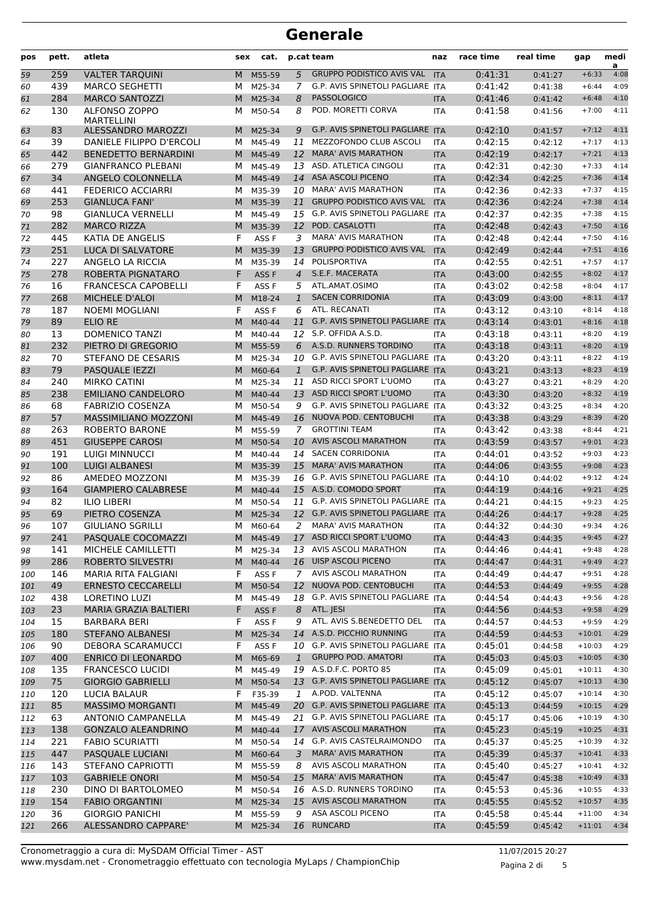| pos | pett. | atleta                                    | sex | cat.             |                | p.cat team                              | naz        | race time | real time | gap      | medi<br>a |
|-----|-------|-------------------------------------------|-----|------------------|----------------|-----------------------------------------|------------|-----------|-----------|----------|-----------|
| 59  | 259   | <b>VALTER TARQUINI</b>                    | M   | M55-59           | 5              | <b>GRUPPO PODISTICO AVIS VAL</b>        | <b>ITA</b> | 0:41:31   | 0:41:27   | $+6:33$  | 4:08      |
| 60  | 439   | <b>MARCO SEGHETTI</b>                     | м   | M25-34           | 7              | <b>G.P. AVIS SPINETOLI PAGLIARE ITA</b> |            | 0:41:42   | 0:41:38   | $+6:44$  | 4:09      |
| 61  | 284   | <b>MARCO SANTOZZI</b>                     | M   | M25-34           | 8              | <b>PASSOLOGICO</b>                      | <b>ITA</b> | 0:41:46   | 0:41:42   | $+6:48$  | 4:10      |
| 62  | 130   | <b>ALFONSO ZOPPO</b><br><b>MARTELLINI</b> | м   | M50-54           | 8              | POD. MORETTI CORVA                      | <b>ITA</b> | 0:41:58   | 0:41:56   | $+7:00$  | 4:11      |
| 63  | 83    | ALESSANDRO MAROZZI                        | M   | M25-34           | 9              | G.P. AVIS SPINETOLI PAGLIARE            | <b>ITA</b> | 0:42:10   | 0:41:57   | $+7:12$  | 4:11      |
| 64  | 39    | DANIELE FILIPPO D'ERCOLI                  | м   | M45-49           | 11             | MEZZOFONDO CLUB ASCOLI                  | <b>ITA</b> | 0:42:15   | 0:42:12   | $+7:17$  | 4:13      |
| 65  | 442   | <b>BENEDETTO BERNARDINI</b>               | M   | M45-49           | 12             | <b>MARA' AVIS MARATHON</b>              | <b>ITA</b> | 0:42:19   | 0:42:17   | $+7:21$  | 4:13      |
| 66  | 279   | <b>GIANFRANCO PLEBANI</b>                 | м   | M45-49           | 13             | ASD. ATLETICA CINGOLI                   | <b>ITA</b> | 0:42:31   | 0:42:30   | $+7:33$  | 4:14      |
| 67  | 34    | ANGELO COLONNELLA                         | M   | M45-49           | 14             | <b>ASA ASCOLI PICENO</b>                | <b>ITA</b> | 0:42:34   | 0:42:25   | $+7:36$  | 4:14      |
| 68  | 441   | <b>FEDERICO ACCIARRI</b>                  | М   | M35-39           |                | 10 MARA' AVIS MARATHON                  | <b>ITA</b> | 0:42:36   | 0:42:33   | $+7:37$  | 4:15      |
| 69  | 253   | <b>GIANLUCA FANI'</b>                     | M   | M35-39           | 11             | <b>GRUPPO PODISTICO AVIS VAL</b>        | <b>ITA</b> | 0:42:36   | 0:42:24   | $+7:38$  | 4:14      |
| 70  | 98    | <b>GIANLUCA VERNELLI</b>                  | м   | M45-49           | 15             | G.P. AVIS SPINETOLI PAGLIARE            | <b>ITA</b> | 0:42:37   | 0:42:35   | $+7:38$  | 4:15      |
| 71  | 282   | <b>MARCO RIZZA</b>                        | M   | M35-39           | 12             | POD. CASALOTTI                          | <b>ITA</b> | 0:42:48   | 0:42:43   | $+7:50$  | 4:16      |
| 72  | 445   | <b>KATIA DE ANGELIS</b>                   | F   | ASS F            | 3              | <b>MARA' AVIS MARATHON</b>              | <b>ITA</b> | 0:42:48   | 0:42:44   | $+7:50$  | 4:16      |
| 73  | 251   | LUCA DI SALVATORE                         | M   | M35-39           | 13             | <b>GRUPPO PODISTICO AVIS VAL</b>        | <b>ITA</b> | 0:42:49   | 0:42:44   | $+7:51$  | 4:16      |
| 74  | 227   | ANGELO LA RICCIA                          | М   | M35-39           |                | 14 POLISPORTIVA                         | <b>ITA</b> | 0:42:55   | 0:42:51   | $+7:57$  | 4:17      |
| 75  | 278   | ROBERTA PIGNATARO                         | F   | ASS <sub>F</sub> | $\overline{4}$ | S.E.F. MACERATA                         | <b>ITA</b> | 0:43:00   | 0:42:55   | $+8:02$  | 4:17      |
| 76  | 16    | <b>FRANCESCA CAPOBELLI</b>                | F   | ASS <sub>F</sub> | 5              | ATL.AMAT.OSIMO                          | <b>ITA</b> | 0:43:02   | 0:42:58   | $+8:04$  | 4:17      |
| 77  | 268   | MICHELE D'ALOI                            | M   | M18-24           | $\mathbf{1}$   | <b>SACEN CORRIDONIA</b>                 | <b>ITA</b> | 0:43:09   | 0:43:00   | $+8:11$  | 4:17      |
| 78  | 187   | <b>NOEMI MOGLIANI</b>                     | F   | ASS <sub>F</sub> | 6              | ATL. RECANATI                           | <b>ITA</b> | 0:43:12   | 0:43:10   | $+8:14$  | 4:18      |
| 79  | 89    | <b>ELIO RE</b>                            | M   | M40-44           | 11             | <b>G.P. AVIS SPINETOLI PAGLIARE ITA</b> |            | 0:43:14   | 0:43:01   | $+8:16$  | 4:18      |
| 80  | 13    | <b>DOMENICO TANZI</b>                     | М   | M40-44           |                | 12 S.P. OFFIDA A.S.D.                   | <b>ITA</b> | 0:43:18   | 0:43:11   | $+8:20$  | 4:19      |
| 81  | 232   | PIETRO DI GREGORIO                        | M   | M55-59           | 6              | A.S.D. RUNNERS TORDINO                  | <b>ITA</b> | 0:43:18   | 0:43:11   | $+8:20$  | 4:19      |
| 82  | 70    | <b>STEFANO DE CESARIS</b>                 | м   | M25-34           | 10             | <b>G.P. AVIS SPINETOLI PAGLIARE ITA</b> |            | 0:43:20   | 0:43:11   | $+8:22$  | 4:19      |
| 83  | 79    | <b>PASQUALE IEZZI</b>                     | M   | M60-64           | $\mathbf{1}$   | G.P. AVIS SPINETOLI PAGLIARE ITA        |            | 0:43:21   | 0:43:13   | $+8:23$  | 4:19      |
| 84  | 240   | <b>MIRKO CATINI</b>                       | м   | M25-34           | 11             | ASD RICCI SPORT L'UOMO                  | <b>ITA</b> | 0:43:27   | 0:43:21   | $+8:29$  | 4:20      |
| 85  | 238   | <b>EMILIANO CANDELORO</b>                 | M   | M40-44           | 13             | ASD RICCI SPORT L'UOMO                  | <b>ITA</b> | 0:43:30   | 0:43:20   | $+8:32$  | 4:19      |
| 86  | 68    | <b>FABRIZIO COSENZA</b>                   | М   | M50-54           | 9              | G.P. AVIS SPINETOLI PAGLIARE ITA        |            | 0:43:32   | 0:43:25   | $+8:34$  | 4:20      |
| 87  | 57    | <b>MASSIMILIANO MOZZONI</b>               | M   | M45-49           | 16             | NUOVA POD. CENTOBUCHI                   | <b>ITA</b> | 0:43:38   | 0:43:29   | $+8:39$  | 4:20      |
| 88  | 263   | <b>ROBERTO BARONE</b>                     | м   | M55-59           | 7              | <b>GROTTINI TEAM</b>                    | <b>ITA</b> | 0:43:42   | 0:43:38   | $+8:44$  | 4:21      |
| 89  | 451   | <b>GIUSEPPE CAROSI</b>                    | M   | M50-54           | 10             | <b>AVIS ASCOLI MARATHON</b>             | <b>ITA</b> | 0:43:59   | 0:43:57   | $+9:01$  | 4:23      |
| 90  | 191   | <b>LUIGI MINNUCCI</b>                     | м   | M40-44           | 14             | <b>SACEN CORRIDONIA</b>                 | <b>ITA</b> | 0:44:01   | 0:43:52   | $+9:03$  | 4:23      |
| 91  | 100   | <b>LUIGI ALBANESI</b>                     | M   | M35-39           | 15             | <b>MARA' AVIS MARATHON</b>              | <b>ITA</b> | 0:44:06   | 0:43:55   | $+9:08$  | 4:23      |
| 92  | 86    | AMEDEO MOZZONI                            | М   | M35-39           |                | 16 G.P. AVIS SPINETOLI PAGLIARE ITA     |            | 0:44:10   | 0:44:02   | $+9:12$  | 4:24      |
| 93  | 164   | <b>GIAMPIERO CALABRESE</b>                | M   | M40-44           |                | 15 A.S.D. COMODO SPORT                  | <b>ITA</b> | 0:44:19   | 0:44:16   | $+9:21$  | 4:25      |
| 94  | 82    | <b>ILIO LIBERI</b>                        | м   | M50-54           | 11             | G.P. AVIS SPINETOLI PAGLIARE ITA        |            | 0:44:21   | 0:44:15   | $+9:23$  | 4:25      |
| 95  | 69    | PIETRO COSENZA                            | M   | M25-34           | 12             | G.P. AVIS SPINETOLI PAGLIARE ITA        |            | 0:44:26   | 0:44:17   | $+9:28$  | 4:25      |
| 96  | 107   | <b>GIULIANO SGRILLI</b>                   | м   | M60-64           | 2              | <b>MARA' AVIS MARATHON</b>              | <b>ITA</b> | 0:44:32   | 0:44:30   | $+9:34$  | 4:26      |
| 97  | 241   | PASQUALE COCOMAZZI                        |     | M M45-49         |                | 17 ASD RICCI SPORT L'UOMO               | <b>ITA</b> | 0:44:43   | 0:44:35   | $+9:45$  | 4:27      |
| 98  | 141   | MICHELE CAMILLETTI                        | м   | M25-34           |                | 13 AVIS ASCOLI MARATHON                 | ITA        | 0:44:46   | 0:44:41   | $+9:48$  | 4:28      |
| 99  | 286   | ROBERTO SILVESTRI                         | M   | M40-44           |                | 16 UISP ASCOLI PICENO                   | <b>ITA</b> | 0:44:47   | 0:44:31   | $+9:49$  | 4:27      |
| 100 | 146   | MARIA RITA FALGIANI                       | F   | ASS F            | 7              | AVIS ASCOLI MARATHON                    | ITA        | 0:44:49   | 0:44:47   | $+9:51$  | 4:28      |
| 101 | 49    | <b>ERNESTO CECCARELLI</b>                 | M   | M50-54           | 12             | NUOVA POD. CENTOBUCHI                   | <b>ITA</b> | 0:44:53   | 0:44:49   | $+9:55$  | 4:28      |
| 102 | 438   | LORETINO LUZI                             | М   | M45-49           |                | 18 G.P. AVIS SPINETOLI PAGLIARE ITA     |            | 0:44:54   | 0:44:43   | $+9:56$  | 4:28      |
| 103 | 23    | MARIA GRAZIA BALTIERI                     | F   | ASS F            | 8              | ATL. JESI                               | <b>ITA</b> | 0:44:56   | 0:44:53   | $+9:58$  | 4:29      |
| 104 | 15    | <b>BARBARA BERI</b>                       | F   | ASS F            | 9              | ATL. AVIS S.BENEDETTO DEL               | <b>ITA</b> | 0:44:57   | 0:44:53   | $+9:59$  | 4:29      |
| 105 | 180   | <b>STEFANO ALBANESI</b>                   | M   | M25-34           |                | 14 A.S.D. PICCHIO RUNNING               | <b>ITA</b> | 0:44:59   | 0:44:53   | $+10:01$ | 4:29      |
| 106 | 90    | <b>DEBORA SCARAMUCCI</b>                  | F   | ASS F            |                | 10 G.P. AVIS SPINETOLI PAGLIARE ITA     |            | 0:45:01   | 0:44:58   | $+10:03$ | 4:29      |
| 107 | 400   | ENRICO DI LEONARDO                        | M   | M65-69           | $\mathbf{1}$   | <b>GRUPPO POD. AMATORI</b>              | <b>ITA</b> | 0:45:03   | 0:45:03   | $+10:05$ | 4:30      |
| 108 | 135   | <b>FRANCESCO LUCIDI</b>                   | М   | M45-49           |                | 19 A.S.D.F.C. PORTO 85                  | ITA        | 0:45:09   | 0:45:01   | $+10:11$ | 4:30      |
| 109 | 75    | <b>GIORGIO GABRIELLI</b>                  |     | M M50-54         |                | 13 G.P. AVIS SPINETOLI PAGLIARE ITA     |            | 0:45:12   | 0:45:07   | $+10:13$ | 4:30      |
| 110 | 120   | LUCIA BALAUR                              | F   | F35-39           | 1              | A.POD. VALTENNA                         | ITA        | 0:45:12   | 0:45:07   | $+10:14$ | 4:30      |
| 111 | 85    | <b>MASSIMO MORGANTI</b>                   | M   | M45-49           |                | 20 G.P. AVIS SPINETOLI PAGLIARE ITA     |            | 0:45:13   | 0:44:59   | $+10:15$ | 4:29      |
| 112 | 63    | ANTONIO CAMPANELLA                        | M   | M45-49           | 21             | G.P. AVIS SPINETOLI PAGLIARE ITA        |            | 0:45:17   | 0:45:06   | $+10:19$ | 4:30      |
| 113 | 138   | <b>GONZALO ALEANDRINO</b>                 |     | M M40-44         |                | 17 AVIS ASCOLI MARATHON                 | <b>ITA</b> | 0:45:23   | 0:45:19   | $+10:25$ | 4:31      |
| 114 | 221   | <b>FABIO SCURIATTI</b>                    |     | M M50-54         |                | 14 G.P. AVIS CASTELRAIMONDO             | ITA        | 0:45:37   | 0:45:25   | $+10:39$ | 4:32      |
| 115 | 447   | PASQUALE LUCIANI                          | M   | M60-64           | 3              | <b>MARA' AVIS MARATHON</b>              | <b>ITA</b> | 0:45:39   | 0:45:37   | $+10:41$ | 4:33      |
| 116 | 143   | STEFANO CAPRIOTTI                         | м   | M55-59           | 8              | AVIS ASCOLI MARATHON                    | ITA        | 0:45:40   | 0:45:27   | $+10:41$ | 4:32      |
| 117 | 103   | <b>GABRIELE ONORI</b>                     |     | M M50-54         | 15             | <b>MARA' AVIS MARATHON</b>              | <b>ITA</b> | 0:45:47   | 0:45:38   | $+10:49$ | 4:33      |
| 118 | 230   | DINO DI BARTOLOMEO                        |     | M M50-54         |                | 16 A.S.D. RUNNERS TORDINO               | ITA        | 0:45:53   | 0:45:36   | $+10:55$ | 4:33      |
| 119 | 154   | <b>FABIO ORGANTINI</b>                    |     | M M25-34         | 15             | <b>AVIS ASCOLI MARATHON</b>             | <b>ITA</b> | 0:45:55   | 0:45:52   | $+10:57$ | 4:35      |
| 120 | 36    | <b>GIORGIO PANICHI</b>                    | м   | M55-59           | 9              | ASA ASCOLI PICENO                       | ITA        | 0:45:58   | 0:45:44   | $+11:00$ | 4:34      |
| 121 | 266   | ALESSANDRO CAPPARE'                       | M   | M25-34           |                | 16 RUNCARD                              | <b>ITA</b> | 0:45:59   | 0:45:42   | $+11:01$ | 4:34      |

Pagina 2 di 5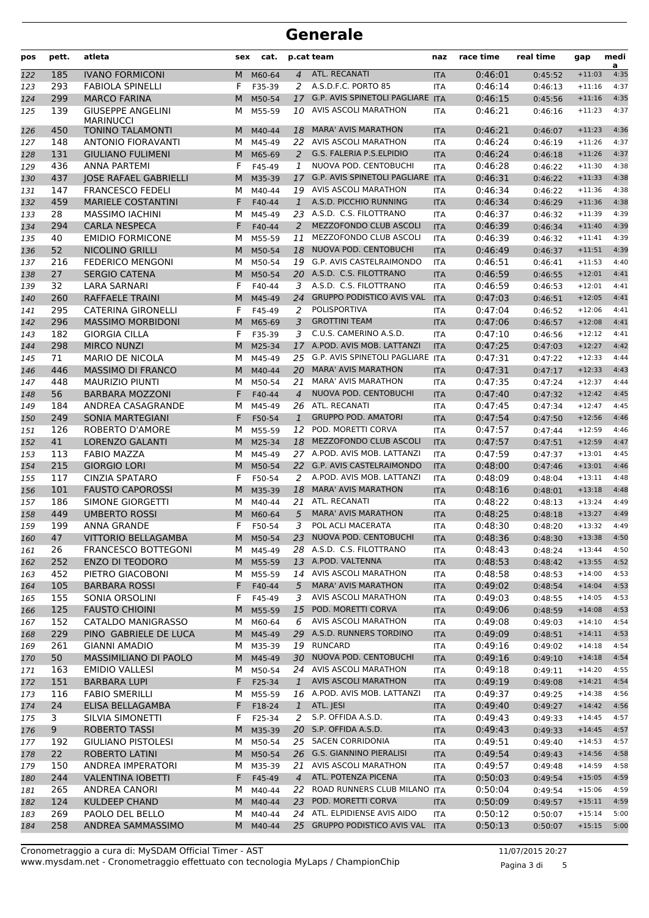| pos | pett. | atleta                                       | sex | cat.     |                    | p.cat team                                      | naz        | race time | real time | gap           | medi<br>a |
|-----|-------|----------------------------------------------|-----|----------|--------------------|-------------------------------------------------|------------|-----------|-----------|---------------|-----------|
| 122 | 185   | <b>IVANO FORMICONI</b>                       | M   | M60-64   | $\overline{4}$     | ATL. RECANATI                                   | <b>ITA</b> | 0:46:01   | 0:45:52   | $+11:03$      | 4:35      |
| 123 | 293   | <b>FABIOLA SPINELLI</b>                      | F   | F35-39   | 2                  | A.S.D.F.C. PORTO 85                             | <b>ITA</b> | 0:46:14   | 0:46:13   | $+11:16$      | 4:37      |
| 124 | 299   | <b>MARCO FARINA</b>                          | M   | M50-54   | 17                 | G.P. AVIS SPINETOLI PAGLIARE ITA                |            | 0:46:15   | 0:45:56   | $+11:16$      | 4:35      |
| 125 | 139   | <b>GIUSEPPE ANGELINI</b><br><b>MARINUCCI</b> | м   | M55-59   | 10                 | AVIS ASCOLI MARATHON                            | <b>ITA</b> | 0:46:21   | 0:46:16   | $+11:23$      | 4:37      |
| 126 | 450   | <b>TONINO TALAMONTI</b>                      | M   | M40-44   | 18                 | <b>MARA' AVIS MARATHON</b>                      | <b>ITA</b> | 0:46:21   | 0:46:07   | $+11:23$      | 4:36      |
| 127 | 148   | ANTONIO FIORAVANTI                           | м   | M45-49   | 22                 | AVIS ASCOLI MARATHON                            | <b>ITA</b> | 0:46:24   | 0:46:19   | $+11:26$      | 4:37      |
| 128 | 131   | <b>GIULIANO FULIMENI</b>                     | M   | M65-69   | 2                  | G.S. FALERIA P.S.ELPIDIO                        | <b>ITA</b> | 0:46:24   | 0:46:18   | $+11:26$      | 4:37      |
| 129 | 436   | <b>ANNA PARTEMI</b>                          | F   | F45-49   | 1                  | NUOVA POD. CENTOBUCHI                           | <b>ITA</b> | 0:46:28   | 0:46:22   | $+11:30$      | 4:38      |
| 130 | 437   | <b>JOSE RAFAEL GABRIELLI</b>                 | M   | M35-39   | 17                 | G.P. AVIS SPINETOLI PAGLIARE ITA                |            | 0:46:31   | 0:46:22   | $+11:33$      | 4:38      |
| 131 | 147   | <b>FRANCESCO FEDELI</b>                      | м   | M40-44   |                    | 19 AVIS ASCOLI MARATHON                         | <b>ITA</b> | 0:46:34   | 0:46:22   | $+11:36$      | 4:38      |
| 132 | 459   | <b>MARIELE COSTANTINI</b>                    | F   | F40-44   | $\mathbf{1}$       | A.S.D. PICCHIO RUNNING                          | <b>ITA</b> | 0:46:34   | 0:46:29   | $+11:36$      | 4:38      |
| 133 | 28    | <b>MASSIMO IACHINI</b>                       | м   | M45-49   |                    | 23 A.S.D. C.S. FILOTTRANO                       | <b>ITA</b> | 0:46:37   | 0:46:32   | $+11:39$      | 4:39      |
| 134 | 294   | <b>CARLA NESPECA</b>                         | F   | F40-44   | 2                  | MEZZOFONDO CLUB ASCOLI                          | <b>ITA</b> | 0:46:39   | 0:46:34   | $+11:40$      | 4:39      |
| 135 | 40    | <b>EMIDIO FORMICONE</b>                      | м   | M55-59   | 11                 | MEZZOFONDO CLUB ASCOLI                          | <b>ITA</b> | 0:46:39   | 0:46:32   | $+11:41$      | 4:39      |
| 136 | 52    | <b>NICOLINO GRILLI</b>                       | M   | M50-54   | 18                 | NUOVA POD. CENTOBUCHI                           | <b>ITA</b> | 0:46:49   | 0:46:37   | $+11:51$      | 4:39      |
| 137 | 216   | <b>FEDERICO MENGONI</b>                      | м   | M50-54   | 19                 | G.P. AVIS CASTELRAIMONDO                        | <b>ITA</b> | 0:46:51   | 0:46:41   | $+11:53$      | 4:40      |
| 138 | 27    | <b>SERGIO CATENA</b>                         | M   | M50-54   | 20                 | A.S.D. C.S. FILOTTRANO                          | <b>ITA</b> | 0:46:59   | 0:46:55   | $+12:01$      | 4:41      |
| 139 | 32    | LARA SARNARI                                 | F   | F40-44   | 3                  | A.S.D. C.S. FILOTTRANO                          | <b>ITA</b> | 0:46:59   | 0:46:53   | $+12:01$      | 4:41      |
| 140 | 260   | RAFFAELE TRAINI                              | M   | M45-49   | 24                 | <b>GRUPPO PODISTICO AVIS VAL</b>                | <b>ITA</b> | 0:47:03   | 0:46:51   | $+12:05$      | 4:41      |
| 141 | 295   | <b>CATERINA GIRONELLI</b>                    | F   | F45-49   | 2                  | POLISPORTIVA                                    | <b>ITA</b> | 0:47:04   | 0:46:52   | $+12:06$      | 4:41      |
| 142 | 296   | <b>MASSIMO MORBIDONI</b>                     | M   | M65-69   | 3                  | <b>GROTTINI TEAM</b>                            | <b>ITA</b> | 0:47:06   | 0:46:57   | $+12:08$      | 4:41      |
| 143 | 182   | <b>GIORGIA CILLA</b>                         | F   | F35-39   | 3                  | C.U.S. CAMERINO A.S.D.                          | <b>ITA</b> | 0:47:10   | 0:46:56   | $+12:12$      | 4:41      |
| 144 | 298   | <b>MIRCO NUNZI</b>                           | M   | M25-34   | 17                 | A.POD. AVIS MOB. LATTANZI                       | <b>ITA</b> | 0:47:25   | 0:47:03   | $+12:27$      | 4:42      |
| 145 | 71    | <b>MARIO DE NICOLA</b>                       | м   | M45-49   |                    | 25 G.P. AVIS SPINETOLI PAGLIARE ITA             |            | 0:47:31   | 0:47:22   | $+12:33$      | 4:44      |
| 146 | 446   | <b>MASSIMO DI FRANCO</b>                     | M   | M40-44   | 20                 | <b>MARA' AVIS MARATHON</b>                      | <b>ITA</b> | 0:47:31   | 0:47:17   | $+12:33$      | 4:43      |
| 147 | 448   | <b>MAURIZIO PIUNTI</b>                       | м   | M50-54   | 21                 | <b>MARA' AVIS MARATHON</b>                      | <b>ITA</b> | 0:47:35   | 0:47:24   | $+12:37$      | 4:44      |
|     | 56    | <b>BARBARA MOZZONI</b>                       | F   | F40-44   | $\overline{4}$     | NUOVA POD. CENTOBUCHI                           | <b>ITA</b> | 0:47:40   | 0:47:32   | $+12:42$      | 4:45      |
| 148 | 184   | ANDREA CASAGRANDE                            | м   |          |                    | 26 ATL. RECANATI                                |            | 0:47:45   |           | $+12:47$      | 4:45      |
| 149 |       | <b>SONIA MARTEGIANI</b>                      | F   | M45-49   |                    | <b>GRUPPO POD. AMATORI</b>                      | <b>ITA</b> | 0:47:54   | 0:47:34   | $+12:56$      | 4:46      |
| 150 | 249   |                                              |     | F50-54   | $\mathbf{1}$<br>12 | POD. MORETTI CORVA                              | <b>ITA</b> | 0:47:57   | 0:47:50   | $+12:59$      | 4:46      |
| 151 | 126   | ROBERTO D'AMORE                              | м   | M55-59   |                    | MEZZOFONDO CLUB ASCOLI                          | <b>ITA</b> |           | 0:47:44   |               | 4:47      |
| 152 | 41    | <b>LORENZO GALANTI</b>                       | M   | M25-34   | 18                 |                                                 | <b>ITA</b> | 0:47:57   | 0:47:51   | $+12:59$      |           |
| 153 | 113   | <b>FABIO MAZZA</b>                           | м   | M45-49   |                    | 27 A.POD. AVIS MOB. LATTANZI                    | <b>ITA</b> | 0:47:59   | 0:47:37   | $+13:01$      | 4:45      |
| 154 | 215   | <b>GIORGIO LORI</b>                          | M   | M50-54   |                    | 22 G.P. AVIS CASTELRAIMONDO                     | <b>ITA</b> | 0:48:00   | 0:47:46   | $+13:01$      | 4:46      |
| 155 | 117   | <b>CINZIA SPATARO</b>                        | F   | F50-54   | 2                  | A.POD. AVIS MOB. LATTANZI                       | <b>ITA</b> | 0:48:09   | 0:48:04   | $+13:11$      | 4:48      |
| 156 | 101   | <b>FAUSTO CAPOROSSI</b>                      | M   | M35-39   | 18                 | <b>MARA' AVIS MARATHON</b>                      | <b>ITA</b> | 0:48:16   | 0:48:01   | $+13:18$      | 4:48      |
| 157 | 186   | SIMONE GIORGETTI                             | м   | M40-44   | 21                 | ATL. RECANATI                                   | <b>ITA</b> | 0:48:22   | 0:48:13   | $+13:24$      | 4:49      |
| 158 | 449   | <b>UMBERTO ROSSI</b>                         | M   | M60-64   | 5                  | <b>MARA' AVIS MARATHON</b><br>POL ACLI MACERATA | <b>ITA</b> | 0:48:25   | 0:48:18   | $+13:27$      | 4:49      |
| 159 | 199   | <b>ANNA GRANDE</b>                           | F   | F50-54   | 3                  |                                                 | <b>ITA</b> | 0:48:30   | 0:48:20   | $+13:32$      | 4:49      |
| 160 | 47    | VITTORIO BELLAGAMBA                          |     | M M50-54 |                    | 23 NUOVA POD. CENTOBUCHI                        | <b>ITA</b> | 0:48:36   | 0:48:30   | $+13:38$ 4:50 |           |
| 161 | 26    | <b>FRANCESCO BOTTEGONI</b>                   |     | M M45-49 |                    | 28 A.S.D. C.S. FILOTTRANO                       | ITA        | 0:48:43   | 0:48:24   | $+13:44$      | 4:50      |
| 162 | 252   | <b>ENZO DI TEODORO</b>                       |     | M M55-59 |                    | 13 A.POD. VALTENNA                              | <b>ITA</b> | 0:48:53   | 0:48:42   | $+13:55$      | 4:52      |
| 163 | 452   | PIETRO GIACOBONI                             |     | M M55-59 |                    | 14 AVIS ASCOLI MARATHON                         | ITA        | 0:48:58   | 0:48:53   | $+14:00$      | 4:53      |
| 164 | 105   | <b>BARBARA ROSSI</b>                         | F.  | F40-44   | 5                  | <b>MARA' AVIS MARATHON</b>                      | <b>ITA</b> | 0:49:02   | 0:48:54   | $+14:04$      | 4:53      |
| 165 | 155   | SONIA ORSOLINI                               | F   | F45-49   | 3                  | AVIS ASCOLI MARATHON                            | ITA        | 0:49:03   | 0:48:55   | $+14:05$      | 4:53      |
| 166 | 125   | <b>FAUSTO CHIOINI</b>                        |     | M M55-59 |                    | 15 POD. MORETTI CORVA                           | <b>ITA</b> | 0:49:06   | 0:48:59   | $+14:08$      | 4:53      |
| 167 | 152   | CATALDO MANIGRASSO                           |     | M M60-64 | 6                  | AVIS ASCOLI MARATHON                            | ITA        | 0:49:08   | 0:49:03   | $+14:10$      | 4:54      |
| 168 | 229   | PINO GABRIELE DE LUCA                        |     | M M45-49 | 29                 | A.S.D. RUNNERS TORDINO                          | <b>ITA</b> | 0:49:09   | 0:48:51   | $+14:11$      | 4:53      |
| 169 | 261   | <b>GIANNI AMADIO</b>                         |     | M M35-39 |                    | 19 RUNCARD                                      | ITA        | 0:49:16   | 0:49:02   | $+14:18$      | 4:54      |
| 170 | 50    | MASSIMILIANO DI PAOLO                        |     | M M45-49 |                    | 30 NUOVA POD. CENTOBUCHI                        | <b>ITA</b> | 0:49:16   | 0:49:10   | $+14:18$      | 4:54      |
| 171 | 163   | <b>EMIDIO VALLESI</b>                        | м   | M50-54   |                    | 24 AVIS ASCOLI MARATHON                         | <b>ITA</b> | 0:49:18   | 0:49:11   | $+14:20$      | 4:55      |
| 172 | 151   | <b>BARBARA LUPI</b>                          | F.  | F25-34   | $\mathbf{1}$       | AVIS ASCOLI MARATHON                            | <b>ITA</b> | 0:49:19   | 0:49:08   | $+14:21$      | 4:54      |
| 173 | 116   | <b>FABIO SMERILLI</b>                        |     | M M55-59 |                    | 16 A.POD. AVIS MOB. LATTANZI                    | ITA        | 0:49:37   | 0:49:25   | $+14:38$      | 4:56      |
| 174 | 24    | ELISA BELLAGAMBA                             | F.  | F18-24   | $\mathbf{1}$       | ATL. JESI                                       | <b>ITA</b> | 0:49:40   | 0:49:27   | $+14:42$      | 4:56      |
| 175 | 3     | SILVIA SIMONETTI                             | F   | F25-34   | 2                  | S.P. OFFIDA A.S.D.                              | <b>ITA</b> | 0:49:43   | 0:49:33   | $+14:45$      | 4:57      |
| 176 | 9     | ROBERTO TASSI                                | M   | M35-39   |                    | 20 S.P. OFFIDA A.S.D.                           | <b>ITA</b> | 0:49:43   | 0:49:33   | $+14:45$      | 4:57      |
| 177 | 192   | <b>GIULIANO PISTOLESI</b>                    | м   | M50-54   |                    | 25 SACEN CORRIDONIA                             | <b>ITA</b> | 0:49:51   | 0:49:40   | $+14:53$      | 4:57      |
| 178 | 22    | <b>ROBERTO LATINI</b>                        |     | M M50-54 |                    | 26 G.S. GIANNINO PIERALISI                      | <b>ITA</b> | 0:49:54   | 0:49:43   | $+14:56$      | 4:58      |
| 179 | 150   | ANDREA IMPERATORI                            |     | M M35-39 |                    | 21 AVIS ASCOLI MARATHON                         | ITA        | 0:49:57   | 0:49:48   | $+14:59$      | 4:58      |
| 180 | 244   | <b>VALENTINA IOBETTI</b>                     | F.  | F45-49   | $\overline{4}$     | ATL. POTENZA PICENA                             | <b>ITA</b> | 0:50:03   | 0:49:54   | $+15:05$      | 4:59      |
| 181 | 265   | ANDREA CANORI                                | м   | M40-44   |                    | 22 ROAD RUNNERS CLUB MILANO                     | <b>ITA</b> | 0:50:04   | 0:49:54   | $+15:06$      | 4:59      |
| 182 | 124   | <b>KULDEEP CHAND</b>                         |     | M M40-44 |                    | 23 POD. MORETTI CORVA                           | <b>ITA</b> | 0:50:09   | 0:49:57   | $+15:11$      | 4:59      |
| 183 | 269   | PAOLO DEL BELLO                              | М   | M40-44   |                    | 24 ATL. ELPIDIENSE AVIS AIDO                    | ITA        | 0:50:12   | 0:50:07   | $+15:14$      | 5:00      |
| 184 | 258   | ANDREA SAMMASSIMO                            |     | M M40-44 |                    | 25 GRUPPO PODISTICO AVIS VAL                    | <b>ITA</b> | 0:50:13   | 0:50:07   | $+15:15$      | 5:00      |

Pagina 3 di 5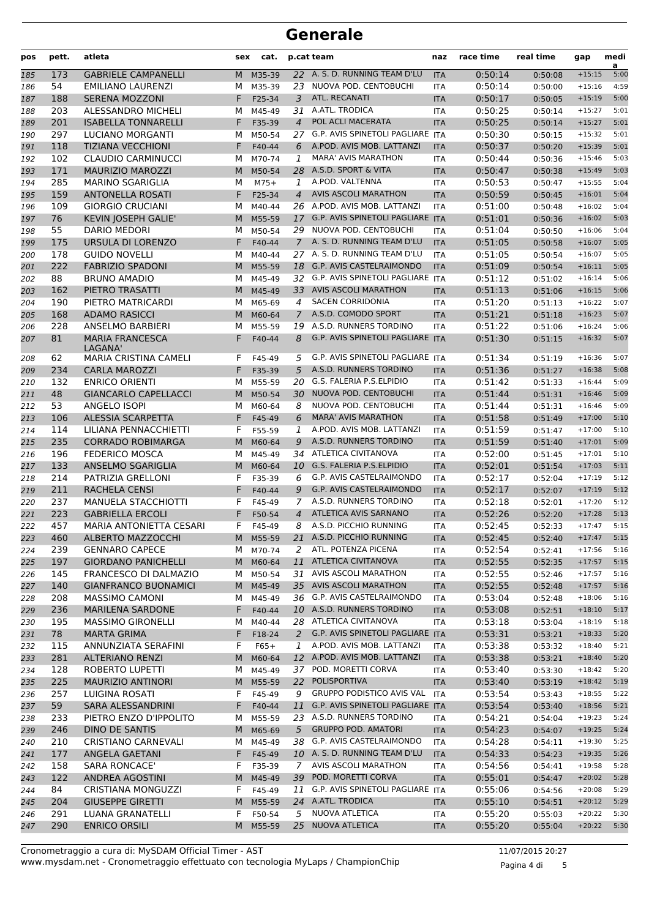| pos | pett. | atleta                       | sex | cat.     |                | p.cat team                              | naz        | race time | real time             | gap      | medi<br>a |
|-----|-------|------------------------------|-----|----------|----------------|-----------------------------------------|------------|-----------|-----------------------|----------|-----------|
| 185 | 173   | <b>GABRIELE CAMPANELLI</b>   | M   | M35-39   |                | 22 A. S. D. RUNNING TEAM D'LU           | <b>ITA</b> | 0:50:14   | 0:50:08               | $+15:15$ | 5:00      |
| 186 | 54    | <b>EMILIANO LAURENZI</b>     | м   | M35-39   | 23             | NUOVA POD. CENTOBUCHI                   | <b>ITA</b> | 0:50:14   | 0:50:00               | $+15:16$ | 4:59      |
| 187 | 188   | <b>SERENA MOZZONI</b>        | F.  | F25-34   | 3              | ATL. RECANATI                           | <b>ITA</b> | 0:50:17   | 0:50:05               | $+15:19$ | 5:00      |
| 188 | 203   | ALESSANDRO MICHELI           | М   | M45-49   | 31             | A.ATL. TRODICA                          | <b>ITA</b> | 0:50:25   | 0:50:14               | $+15:27$ | 5:01      |
| 189 | 201   | <b>ISABELLA TONNARELLI</b>   | F.  | F35-39   | $\overline{4}$ | POL ACLI MACERATA                       | <b>ITA</b> | 0:50:25   | 0:50:14               | $+15:27$ | 5:01      |
| 190 | 297   | LUCIANO MORGANTI             | м   | M50-54   |                | 27 G.P. AVIS SPINETOLI PAGLIARE ITA     |            | 0:50:30   | 0:50:15               | $+15:32$ | 5:01      |
| 191 | 118   | <b>TIZIANA VECCHIONI</b>     | F   | F40-44   | 6              | A.POD. AVIS MOB. LATTANZI               | <b>ITA</b> | 0:50:37   | 0:50:20               | $+15:39$ | 5:01      |
| 192 | 102   | <b>CLAUDIO CARMINUCCI</b>    | м   | M70-74   | 1              | <b>MARA' AVIS MARATHON</b>              | ITA        | 0:50:44   | 0:50:36               | $+15:46$ | 5:03      |
| 193 | 171   | <b>MAURIZIO MAROZZI</b>      | M   | M50-54   | 28             | A.S.D. SPORT & VITA                     | <b>ITA</b> | 0:50:47   | 0:50:38               | $+15:49$ | 5:03      |
| 194 | 285   | <b>MARINO SGARIGLIA</b>      | М   | $M75+$   | 1              | A.POD. VALTENNA                         | <b>ITA</b> | 0:50:53   | 0:50:47               | $+15:55$ | 5:04      |
| 195 | 159   | <b>ANTONELLA ROSATI</b>      | F   | F25-34   | $\overline{4}$ | <b>AVIS ASCOLI MARATHON</b>             | <b>ITA</b> | 0:50:59   | 0:50:45               | $+16:01$ | 5:04      |
| 196 | 109   | <b>GIORGIO CRUCIANI</b>      | м   | M40-44   |                | 26 A.POD. AVIS MOB. LATTANZI            | <b>ITA</b> | 0:51:00   | 0:50:48               | $+16:02$ | 5:04      |
| 197 | 76    | KEVIN JOSEPH GALIE'          | M   | M55-59   |                | 17 G.P. AVIS SPINETOLI PAGLIARE ITA     |            | 0:51:01   | 0:50:36               | $+16:02$ | 5:03      |
| 198 | 55    | <b>DARIO MEDORI</b>          | м   | M50-54   | 29             | NUOVA POD. CENTOBUCHI                   | <b>ITA</b> | 0:51:04   | 0:50:50               | $+16:06$ | 5:04      |
| 199 | 175   | URSULA DI LORENZO            | F   | F40-44   | $7^{\circ}$    | A. S. D. RUNNING TEAM D'LU              | <b>ITA</b> | 0:51:05   | 0:50:58               | $+16:07$ | 5:05      |
| 200 | 178   | <b>GUIDO NOVELLI</b>         | М   | M40-44   | 27             | A. S. D. RUNNING TEAM D'LU              | <b>ITA</b> | 0:51:05   | 0:50:54               | $+16:07$ | 5:05      |
| 201 | 222   | <b>FABRIZIO SPADONI</b>      | M   | M55-59   |                | 18 G.P. AVIS CASTELRAIMONDO             | <b>ITA</b> | 0:51:09   | 0:50:54               | $+16:11$ | 5:05      |
| 202 | 88    | <b>BRUNO AMADIO</b>          | м   | M45-49   |                | 32 G.P. AVIS SPINETOLI PAGLIARE ITA     |            | 0:51:12   | 0:51:02               | $+16:14$ | 5:06      |
| 203 | 162   | PIETRO TRASATTI              | M   | M45-49   |                | 33 AVIS ASCOLI MARATHON                 | <b>ITA</b> | 0:51:13   | 0:51:06               | $+16:15$ | 5:06      |
| 204 | 190   | PIETRO MATRICARDI            | М   | M65-69   | 4              | <b>SACEN CORRIDONIA</b>                 | ITA        | 0:51:20   | 0:51:13               | $+16:22$ | 5:07      |
| 205 | 168   | <b>ADAMO RASICCI</b>         | M   | M60-64   | $\mathcal{I}$  | A.S.D. COMODO SPORT                     | <b>ITA</b> | 0:51:21   | 0:51:18               | $+16:23$ | 5:07      |
| 206 | 228   | ANSELMO BARBIERI             | м   | M55-59   | 19             | A.S.D. RUNNERS TORDINO                  | <b>ITA</b> | 0:51:22   | 0:51:06               | $+16:24$ | 5:06      |
| 207 | 81    | <b>MARIA FRANCESCA</b>       | F   | F40-44   | 8              | <b>G.P. AVIS SPINETOLI PAGLIARE ITA</b> |            | 0:51:30   | 0:51:15               | $+16:32$ | 5:07      |
|     |       | LAGANA'                      |     |          |                |                                         |            |           |                       |          |           |
| 208 | 62    | <b>MARIA CRISTINA CAMELI</b> | F   | F45-49   | 5              | G.P. AVIS SPINETOLI PAGLIARE ITA        |            | 0:51:34   | 0:51:19               | $+16:36$ | 5:07      |
| 209 | 234   | <b>CARLA MAROZZI</b>         | F   | F35-39   | 5              | A.S.D. RUNNERS TORDINO                  | <b>ITA</b> | 0:51:36   | 0:51:27               | $+16:38$ | 5:08      |
| 210 | 132   | <b>ENRICO ORIENTI</b>        | м   | M55-59   |                | 20 G.S. FALERIA P.S.ELPIDIO             | ITA        | 0:51:42   | 0:51:33               | $+16:44$ | 5:09      |
| 211 | 48    | <b>GIANCARLO CAPELLACCI</b>  | M   | M50-54   | 30             | NUOVA POD. CENTOBUCHI                   | <b>ITA</b> | 0:51:44   | 0:51:31               | $+16:46$ | 5:09      |
| 212 | 53    | ANGELO ISOPI                 | М   | M60-64   | 8              | NUOVA POD. CENTOBUCHI                   | <b>ITA</b> | 0:51:44   | 0:51:31               | $+16:46$ | 5:09      |
| 213 | 106   | <b>ALESSIA SCARPETTA</b>     | F   | F45-49   | 6              | <b>MARA' AVIS MARATHON</b>              | <b>ITA</b> | 0:51:58   | 0:51:49               | $+17:00$ | 5:10      |
| 214 | 114   | LILIANA PENNACCHIETTI        | F   | F55-59   | 1              | A.POD. AVIS MOB. LATTANZI               | <b>ITA</b> | 0:51:59   | 0:51:47               | $+17:00$ | 5:10      |
| 215 | 235   | <b>CORRADO ROBIMARGA</b>     | M   | M60-64   | 9              | A.S.D. RUNNERS TORDINO                  | <b>ITA</b> | 0:51:59   | 0:51:40               | $+17:01$ | 5:09      |
| 216 | 196   | <b>FEDERICO MOSCA</b>        | м   | M45-49   |                | 34 ATLETICA CIVITANOVA                  | ITA        | 0:52:00   | 0:51:45               | $+17:01$ | 5:10      |
| 217 | 133   | ANSELMO SGARIGLIA            | M   | M60-64   |                | 10 G.S. FALERIA P.S.ELPIDIO             | <b>ITA</b> | 0:52:01   | 0:51:54               | $+17:03$ | 5:11      |
| 218 | 214   | PATRIZIA GRELLONI            | F   | F35-39   | 6              | <b>G.P. AVIS CASTELRAIMONDO</b>         | <b>ITA</b> | 0:52:17   | 0:52:04               | $+17:19$ | 5:12      |
| 219 | 211   | RACHELA CENSI                | F   | F40-44   | 9              | G.P. AVIS CASTELRAIMONDO                | <b>ITA</b> | 0:52:17   | 0:52:07               | $+17:19$ | 5:12      |
| 220 | 237   | MANUELA STACCHIOTTI          | F   | F45-49   | 7              | A.S.D. RUNNERS TORDINO                  | ITA        | 0:52:18   | 0:52:01               | $+17:20$ | 5:12      |
| 221 | 223   | <b>GABRIELLA ERCOLI</b>      |     | F50-54   | $\overline{4}$ | ATLETICA AVIS SARNANO                   | <b>ITA</b> | 0:52:26   | 0:52:20               | $+17:28$ | 5:13      |
| 222 | 457   | MARIA ANTONIETTA CESARI      | F   | F45-49   | 8              | A.S.D. PICCHIO RUNNING                  | <b>ITA</b> | 0:52:45   | 0:52:33               | $+17:47$ | 5:15      |
| 223 | 460   | ALBERTO MAZZOCCHI            |     | M M55-59 |                | 21 A.S.D. PICCHIO RUNNING               | <b>ITA</b> | 0:52:45   | $0:52:40$ +17:47 5:15 |          |           |
| 224 | 239   | <b>GENNARO CAPECE</b>        |     | M M70-74 |                | 2 ATL. POTENZA PICENA                   | ITA        | 0:52:54   | 0:52:41               | $+17:56$ | 5:16      |
| 225 | 197   | <b>GIORDANO PANICHELLI</b>   | M   | M60-64   | 11             | ATLETICA CIVITANOVA                     | <b>ITA</b> | 0:52:55   | 0:52:35               | $+17:57$ | 5:15      |
| 226 | 145   | FRANCESCO DI DALMAZIO        |     | M M50-54 |                | 31 AVIS ASCOLI MARATHON                 | ITA        | 0:52:55   | 0:52:46               | $+17:57$ | 5:16      |
| 227 | 140   | <b>GIANFRANCO BUONAMICI</b>  | M   | M45-49   |                | 35 AVIS ASCOLI MARATHON                 | <b>ITA</b> | 0:52:55   | 0:52:48               | $+17:57$ | 5:16      |
| 228 | 208   | <b>MASSIMO CAMONI</b>        | м   | M45-49   |                | 36 G.P. AVIS CASTELRAIMONDO             | ITA        | 0:53:04   | 0:52:48               | $+18:06$ | 5:16      |
| 229 | 236   | <b>MARILENA SARDONE</b>      | F.  | F40-44   |                | 10 A.S.D. RUNNERS TORDINO               | <b>ITA</b> | 0:53:08   | 0:52:51               | $+18:10$ | 5:17      |
| 230 | 195   | <b>MASSIMO GIRONELLI</b>     | м   | M40-44   |                | 28 ATLETICA CIVITANOVA                  | ITA        | 0:53:18   | 0:53:04               | $+18:19$ | 5:18      |
| 231 | 78    | <b>MARTA GRIMA</b>           | F.  | F18-24   | 2              | G.P. AVIS SPINETOLI PAGLIARE ITA        |            | 0:53:31   | 0:53:21               | $+18:33$ | 5:20      |
| 232 | 115   | ANNUNZIATA SERAFINI          | F   | $F65+$   | 1              | A.POD. AVIS MOB. LATTANZI               | ITA        | 0:53:38   | 0:53:32               | $+18:40$ | 5:21      |
| 233 | 281   | <b>ALTERIANO RENZI</b>       | M   | M60-64   |                | 12 A.POD. AVIS MOB. LATTANZI            | <b>ITA</b> | 0:53:38   | 0:53:21               | $+18:40$ | 5:20      |
| 234 | 128   | ROBERTO LUPETTI              | м   | M45-49   |                | 37 POD. MORETTI CORVA                   | ITA        | 0:53:40   | 0:53:30               | $+18:42$ | 5:20      |
| 235 | 225   | <b>MAURIZIO ANTINORI</b>     |     | M M55-59 |                | 22 POLISPORTIVA                         | <b>ITA</b> | 0:53:40   | 0:53:19               | $+18:42$ | 5:19      |
| 236 | 257   | LUIGINA ROSATI               | F   | F45-49   | 9              | <b>GRUPPO PODISTICO AVIS VAL</b>        | ITA        | 0:53:54   | 0:53:43               | $+18:55$ | 5:22      |
| 237 | 59    | SARA ALESSANDRINI            | F.  | F40-44   | 11             | G.P. AVIS SPINETOLI PAGLIARE ITA        |            | 0:53:54   | 0:53:40               | $+18:56$ | 5:21      |
| 238 | 233   | PIETRO ENZO D'IPPOLITO       | м   | M55-59   |                | 23 A.S.D. RUNNERS TORDINO               | ITA        | 0:54:21   | 0:54:04               | $+19:23$ | 5:24      |
| 239 | 246   | DINO DE SANTIS               | M   | M65-69   | 5              | <b>GRUPPO POD. AMATORI</b>              | <b>ITA</b> | 0:54:23   | 0:54:07               | $+19:25$ | 5:24      |
| 240 | 210   | <b>CRISTIANO CARNEVALI</b>   | м   | M45-49   |                | 38 G.P. AVIS CASTELRAIMONDO             | <b>ITA</b> | 0:54:28   | 0:54:11               | $+19:30$ | 5:25      |
| 241 | 177   | ANGELA GAETANI               | F.  | F45-49   |                | 10 A. S. D. RUNNING TEAM D'LU           | <b>ITA</b> | 0:54:33   | 0:54:23               | $+19:35$ | 5:26      |
| 242 | 158   | <b>SARA RONCACE'</b>         | F   | F35-39   | $7^{\circ}$    | AVIS ASCOLI MARATHON                    | ITA        | 0:54:56   | 0:54:41               | $+19:58$ | 5:28      |
| 243 | 122   | <b>ANDREA AGOSTINI</b>       | M   | M45-49   | 39             | POD. MORETTI CORVA                      | <b>ITA</b> | 0:55:01   | 0:54:47               | $+20:02$ | 5:28      |
| 244 | 84    | CRISTIANA MONGUZZI           | F   | F45-49   |                | 11 G.P. AVIS SPINETOLI PAGLIARE ITA     |            | 0:55:06   | 0:54:56               | $+20:08$ | 5:29      |
| 245 | 204   | <b>GIUSEPPE GIRETTI</b>      | M   | M55-59   |                | 24 A.ATL. TRODICA                       | <b>ITA</b> | 0:55:10   | 0:54:51               | $+20:12$ | 5:29      |
| 246 | 291   | LUANA GRANATELLI             | F   | F50-54   | 5              | NUOVA ATLETICA                          | <b>ITA</b> | 0:55:20   | 0:55:03               | $+20:22$ | 5:30      |
| 247 | 290   | <b>ENRICO ORSILI</b>         | M   | M55-59   |                | 25 NUOVA ATLETICA                       | <b>ITA</b> | 0:55:20   | 0:55:04               | $+20:22$ | 5:30      |

Pagina 4 di 5